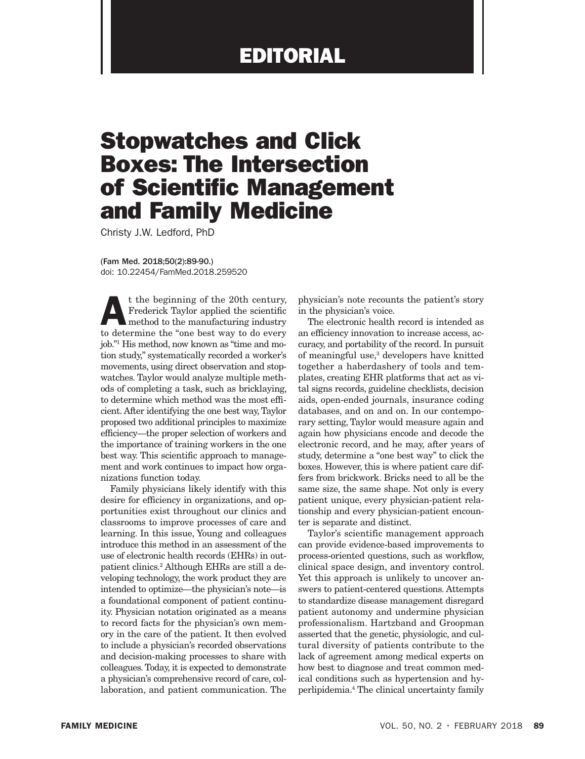## EDITORIAL

## Stopwatches and Click Boxes: The Intersection of Scientific Management and Family Medicine

Christy J.W. Ledford, PhD

(Fam Med. 2018;50(2):89-90.) doi: 10.22454/FamMed.2018.259520

t the beginning of the 20th century,<br>Frederick Taylor applied the scientific<br>method to the manufacturing industry<br>to determine the "ane best way to de overy Frederick Taylor applied the scientific method to the manufacturing industry to determine the "one best way to do every job."1 His method, now known as "time and motion study," systematically recorded a worker's movements, using direct observation and stopwatches. Taylor would analyze multiple methods of completing a task, such as bricklaying, to determine which method was the most efficient. After identifying the one best way, Taylor proposed two additional principles to maximize efficiency—the proper selection of workers and the importance of training workers in the one best way. This scientific approach to management and work continues to impact how organizations function today.

Family physicians likely identify with this desire for efficiency in organizations, and opportunities exist throughout our clinics and classrooms to improve processes of care and learning. In this issue, Young and colleagues introduce this method in an assessment of the use of electronic health records (EHRs) in outpatient clinics.2 Although EHRs are still a developing technology, the work product they are intended to optimize—the physician's note—is a foundational component of patient continuity. Physician notation originated as a means to record facts for the physician's own memory in the care of the patient. It then evolved to include a physician's recorded observations and decision-making processes to share with colleagues. Today, it is expected to demonstrate a physician's comprehensive record of care, collaboration, and patient communication. The

physician's note recounts the patient's story in the physician's voice.

The electronic health record is intended as an efficiency innovation to increase access, accuracy, and portability of the record. In pursuit of meaningful use,<sup>3</sup> developers have knitted together a haberdashery of tools and templates, creating EHR platforms that act as vital signs records, guideline checklists, decision aids, open-ended journals, insurance coding databases, and on and on. In our contemporary setting, Taylor would measure again and again how physicians encode and decode the electronic record, and he may, after years of study, determine a "one best way" to click the boxes. However, this is where patient care differs from brickwork. Bricks need to all be the same size, the same shape. Not only is every patient unique, every physician-patient relationship and every physician-patient encounter is separate and distinct.

Taylor's scientific management approach can provide evidence-based improvements to process-oriented questions, such as workflow, clinical space design, and inventory control. Yet this approach is unlikely to uncover answers to patient-centered questions. Attempts to standardize disease management disregard patient autonomy and undermine physician professionalism. Hartzband and Groopman asserted that the genetic, physiologic, and cultural diversity of patients contribute to the lack of agreement among medical experts on how best to diagnose and treat common medical conditions such as hypertension and hyperlipidemia.4 The clinical uncertainty family